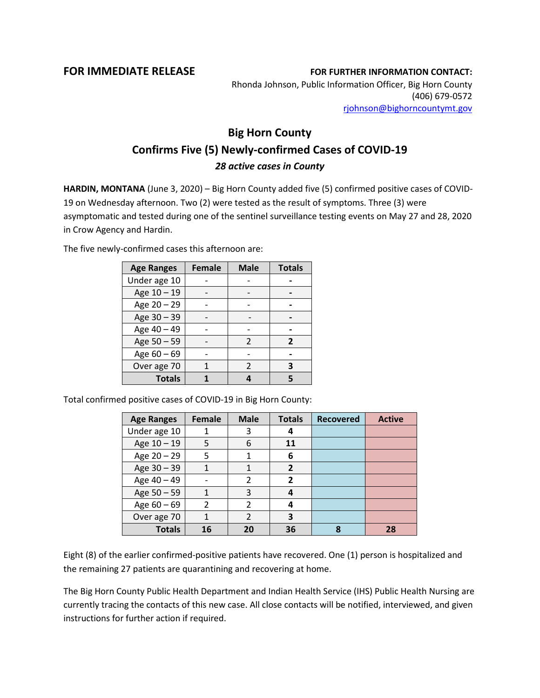**FOR IMMEDIATE RELEASE FOR FURTHER INFORMATION CONTACT:** Rhonda Johnson, Public Information Officer, Big Horn County (406) 679-0572 [rjohnson@bighorncountymt.gov](mailto:rjohnson@bighorncountymt.gov)

## **Big Horn County Confirms Five (5) Newly-confirmed Cases of COVID-19** *28 active cases in County*

**HARDIN, MONTANA** (June 3, 2020) – Big Horn County added five (5) confirmed positive cases of COVID-19 on Wednesday afternoon. Two (2) were tested as the result of symptoms. Three (3) were asymptomatic and tested during one of the sentinel surveillance testing events on May 27 and 28, 2020 in Crow Agency and Hardin.

The five newly-confirmed cases this afternoon are:

| <b>Age Ranges</b> | <b>Female</b> | <b>Male</b>    | <b>Totals</b>  |
|-------------------|---------------|----------------|----------------|
| Under age 10      |               |                |                |
| Age 10 - 19       |               |                |                |
| Age 20 - 29       |               |                |                |
| Age 30 - 39       |               |                |                |
| Age 40 - 49       |               |                |                |
| Age 50 - 59       |               | $\mathfrak{p}$ | $\overline{2}$ |
| Age 60 - 69       |               |                |                |
| Over age 70       |               | C              | 3              |
| <b>Totals</b>     |               |                | 5              |

Total confirmed positive cases of COVID-19 in Big Horn County:

| <b>Age Ranges</b> | <b>Female</b>  | <b>Male</b>    | <b>Totals</b>  | <b>Recovered</b> | <b>Active</b> |
|-------------------|----------------|----------------|----------------|------------------|---------------|
| Under age 10      |                | 3              | 4              |                  |               |
| Age 10 - 19       | 5              | 6              | 11             |                  |               |
| Age 20 - 29       | 5              |                | 6              |                  |               |
| Age $30 - 39$     |                |                | $\overline{2}$ |                  |               |
| Age 40 - 49       |                | 2              | $\overline{2}$ |                  |               |
| Age 50 - 59       | 1              | 3              | 4              |                  |               |
| Age $60 - 69$     | $\mathfrak{p}$ | $\mathcal{P}$  |                |                  |               |
| Over age 70       |                | $\mathfrak{p}$ | 3              |                  |               |
| <b>Totals</b>     | 16             | 20             | 36             | 8                | 28            |

Eight (8) of the earlier confirmed-positive patients have recovered. One (1) person is hospitalized and the remaining 27 patients are quarantining and recovering at home.

The Big Horn County Public Health Department and Indian Health Service (IHS) Public Health Nursing are currently tracing the contacts of this new case. All close contacts will be notified, interviewed, and given instructions for further action if required.